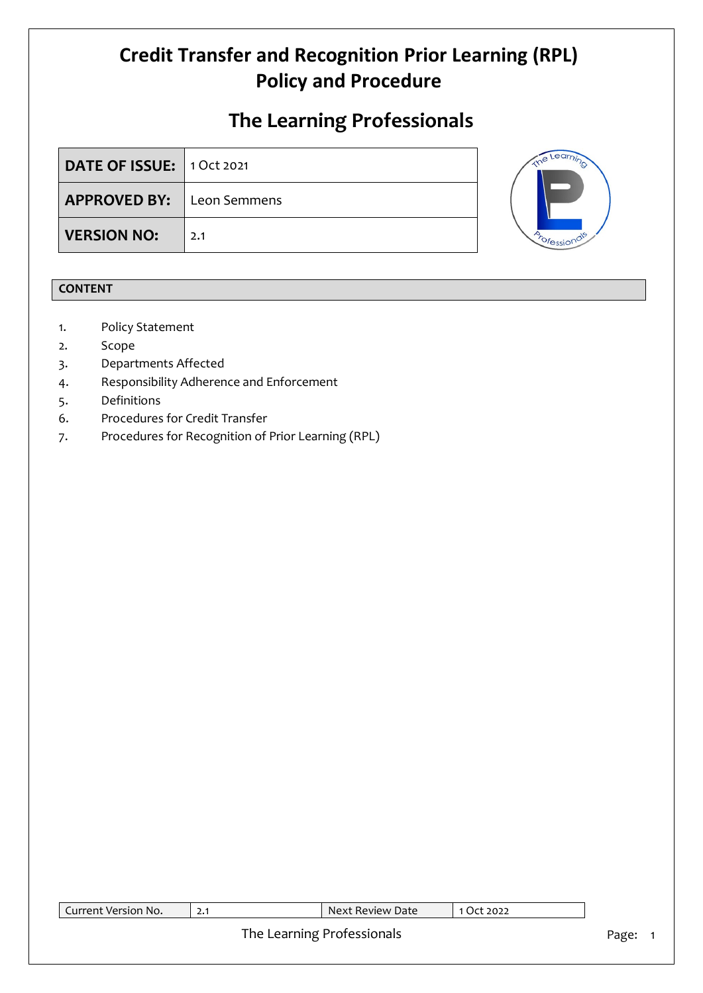### **The Learning Professionals**

| DATE OF ISSUE: 1 Oct 2021        |     |
|----------------------------------|-----|
| <b>APPROVED BY:</b> Leon Semmens |     |
| <b>VERSION NO:</b>               | 2.1 |



### **CONTENT**

- 1. Policy Statement
- 2. Scope
- 3. Departments Affected
- 4. Responsibility Adherence and Enforcement
- 5. Definitions
- 6. Procedures for Credit Transfer
- 7. Procedures for Recognition of Prior Learning (RPL)

| Current Version No. | 2.1 | Next Review Date           | 1 Oct 2022 |       |
|---------------------|-----|----------------------------|------------|-------|
|                     |     | The Learning Professionals |            | Page: |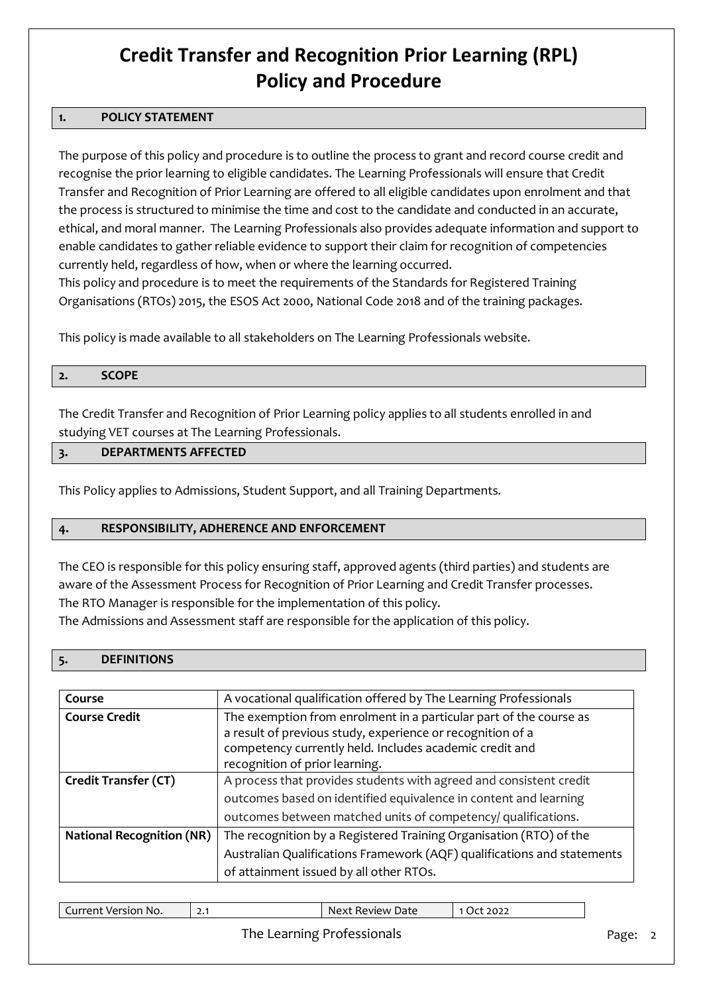### **1. POLICY STATEMENT**

The purpose of this policy and procedure is to outline the process to grant and record course credit and recognise the prior learning to eligible candidates. The Learning Professionals will ensure that Credit Transfer and Recognition of Prior Learning are offered to all eligible candidates upon enrolment and that the process is structured to minimise the time and cost to the candidate and conducted in an accurate, ethical, and moral manner. The Learning Professionals also provides adequate information and support to enable candidates to gather reliable evidence to support their claim for recognition of competencies currently held, regardless of how, when or where the learning occurred.

This policy and procedure is to meet the requirements of the Standards for Registered Training Organisations (RTOs) 2015, the ESOS Act 2000, National Code 2018 and of the training packages.

This policy is made available to all stakeholders on The Learning Professionals website.

#### **2. SCOPE**

The Credit Transfer and Recognition of Prior Learning policy applies to all students enrolled in and studying VET courses at The Learning Professionals.

### **3. DEPARTMENTS AFFECTED**

This Policy applies to Admissions, Student Support, and all Training Departments.

### **4. RESPONSIBILITY, ADHERENCE AND ENFORCEMENT**

The CEO is responsible for this policy ensuring staff, approved agents (third parties) and students are aware of the Assessment Process for Recognition of Prior Learning and Credit Transfer processes. The RTO Manager is responsible for the implementation of this policy.

The Admissions and Assessment staff are responsible for the application of this policy.

| Course                           | A vocational qualification offered by The Learning Professionals        |  |  |  |
|----------------------------------|-------------------------------------------------------------------------|--|--|--|
| <b>Course Credit</b>             | The exemption from enrolment in a particular part of the course as      |  |  |  |
|                                  | a result of previous study, experience or recognition of a              |  |  |  |
|                                  | competency currently held. Includes academic credit and                 |  |  |  |
|                                  | recognition of prior learning.                                          |  |  |  |
| <b>Credit Transfer (CT)</b>      | A process that provides students with agreed and consistent credit      |  |  |  |
|                                  | outcomes based on identified equivalence in content and learning        |  |  |  |
|                                  | outcomes between matched units of competency/ qualifications.           |  |  |  |
| <b>National Recognition (NR)</b> | The recognition by a Registered Training Organisation (RTO) of the      |  |  |  |
|                                  | Australian Qualifications Framework (AQF) qualifications and statements |  |  |  |
|                                  | of attainment issued by all other RTOs.                                 |  |  |  |

| Current Version '<br>No. | -<br>ا • ک | Review Date<br>Next | 2022 |
|--------------------------|------------|---------------------|------|
|                          |            |                     |      |

### The Learning Professionals **Page: 2** Page: 2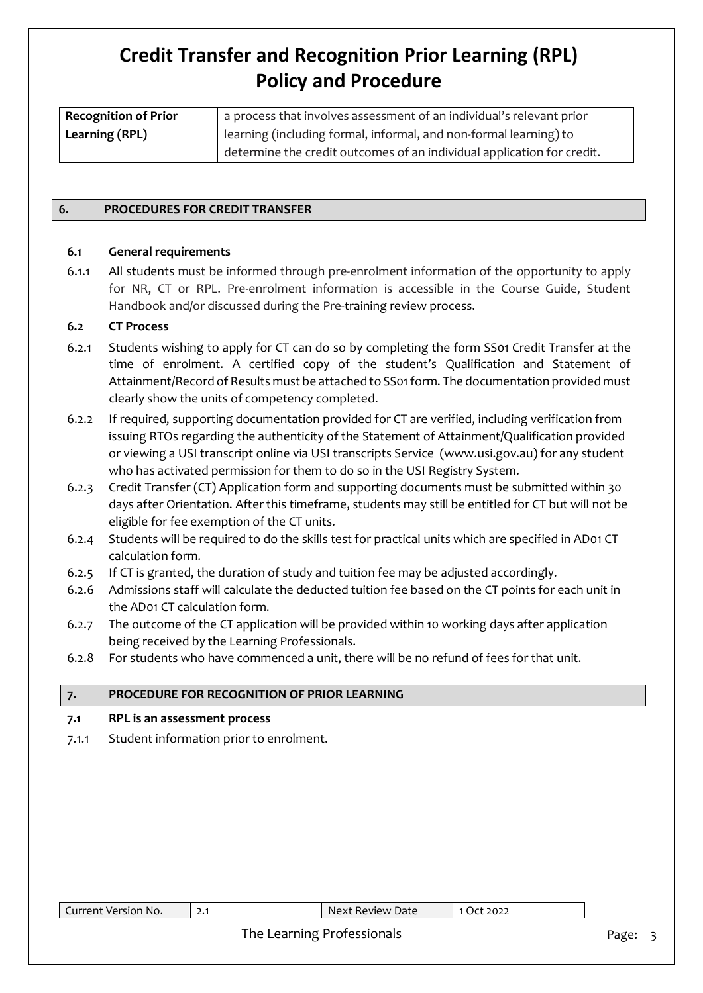| <b>Recognition of Prior</b> | a process that involves assessment of an individual's relevant prior   |
|-----------------------------|------------------------------------------------------------------------|
| Learning (RPL)              | learning (including formal, informal, and non-formal learning) to      |
|                             | determine the credit outcomes of an individual application for credit. |

### **6. PROCEDURES FOR CREDIT TRANSFER**

#### **6.1 General requirements**

6.1.1 All students must be informed through pre-enrolment information of the opportunity to apply for NR, CT or RPL. Pre-enrolment information is accessible in the Course Guide, Student Handbook and/or discussed during the Pre-training review process.

#### **6.2 CT Process**

- 6.2.1 Students wishing to apply for CT can do so by completing the form SS01 Credit Transfer at the time of enrolment. A certified copy of the student's Qualification and Statement of Attainment/Record of Results must be attached to SS01form. The documentation provided must clearly show the units of competency completed.
- 6.2.2 If required, supporting documentation provided for CT are verified, including verification from issuing RTOs regarding the authenticity of the Statement of Attainment/Qualification provided or viewing a USI transcript online via USI transcripts Service [\(www.usi.gov.au\)](https://www.usi.gov.au/) for any student who has activated permission for them to do so in the USI Registry System.
- 6.2.3 Credit Transfer (CT) Application form and supporting documents must be submitted within 30 days after Orientation. After this timeframe, students may still be entitled for CT but will not be eligible for fee exemption of the CT units.
- 6.2.4 Students will be required to do the skills test for practical units which are specified in AD01 CT calculation form.
- 6.2.5 If CT is granted, the duration of study and tuition fee may be adjusted accordingly.
- 6.2.6 Admissions staff will calculate the deducted tuition fee based on the CT points for each unit in the AD01 CT calculation form.
- 6.2.7 The outcome of the CT application will be provided within 10 working days after application being received by the Learning Professionals.
- 6.2.8 For students who have commenced a unit, there will be no refund of fees for that unit.

#### **7. PROCEDURE FOR RECOGNITION OF PRIOR LEARNING**

### **7.1 RPL is an assessment process**

7.1.1 Student information prior to enrolment.

| No.<br>urrent<br>Version | <u> 2. I</u> | $\,$ Review Date $\,$<br>Next | 2022<br>$\mathcal{L}$ |
|--------------------------|--------------|-------------------------------|-----------------------|

### The Learning Professionals **Page: 3** Page: 3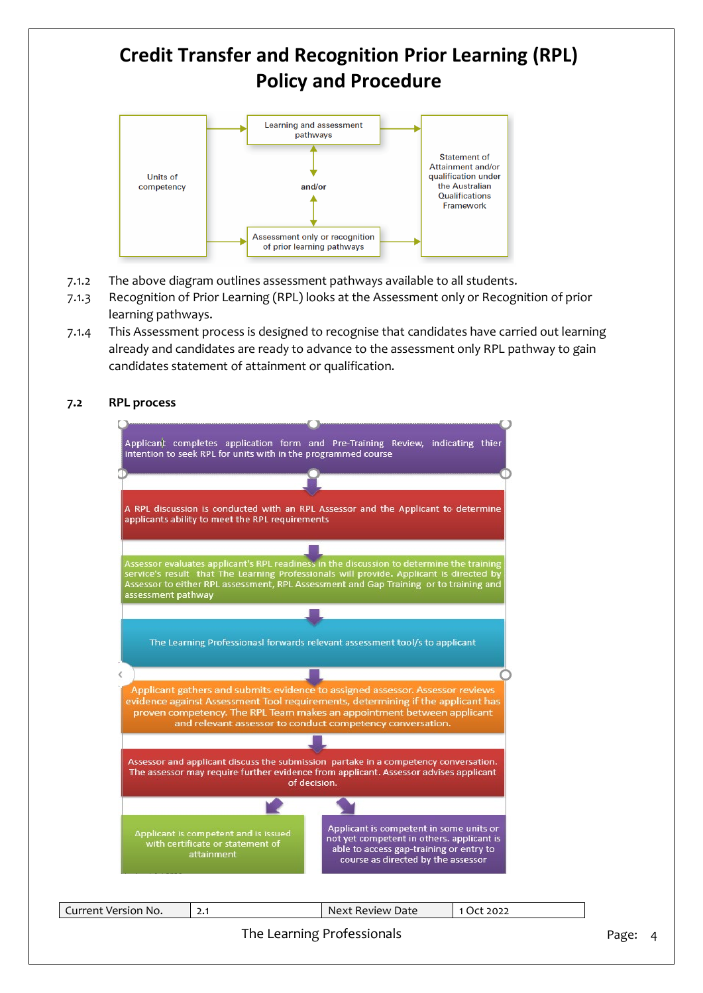

- 7.1.2 The above diagram outlines assessment pathways available to all students.
- 7.1.3 Recognition of Prior Learning (RPL) looks at the Assessment only or Recognition of prior learning pathways.
- 7.1.4 This Assessment process is designed to recognise that candidates have carried out learning already and candidates are ready to advance to the assessment only RPL pathway to gain candidates statement of attainment or qualification.

### **7.2 RPL process**

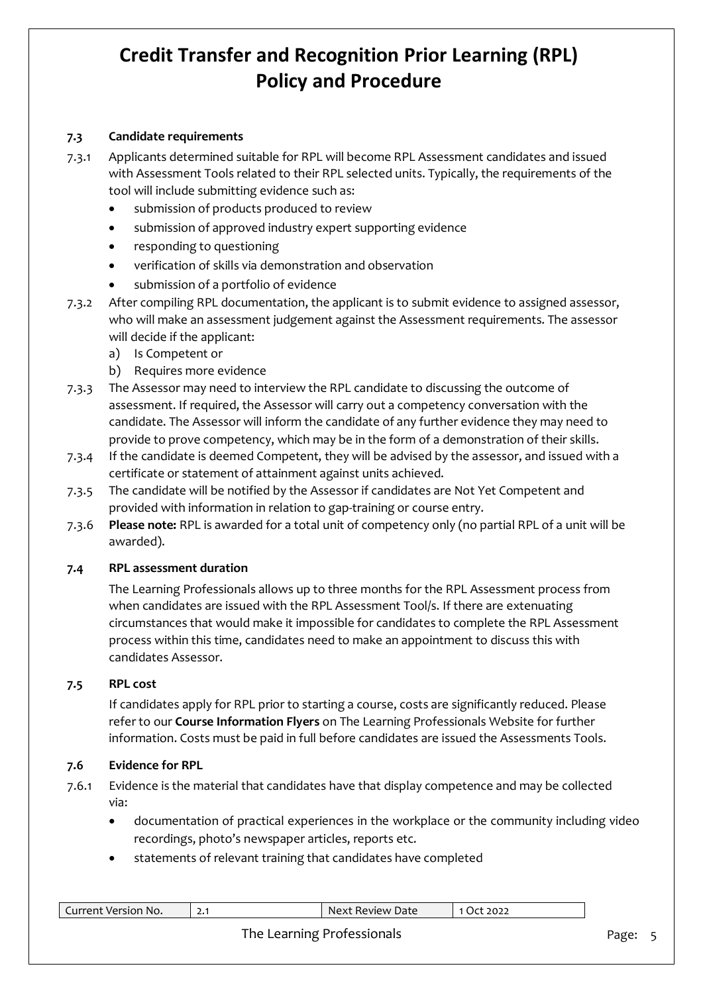### **7.3 Candidate requirements**

- 7.3.1 Applicants determined suitable for RPL will become RPL Assessment candidates and issued with Assessment Tools related to their RPL selected units. Typically, the requirements of the tool will include submitting evidence such as:
	- submission of products produced to review
	- submission of approved industry expert supporting evidence
	- responding to questioning
	- verification of skills via demonstration and observation
	- submission of a portfolio of evidence
- 7.3.2 After compiling RPL documentation, the applicant is to submit evidence to assigned assessor, who will make an assessment judgement against the Assessment requirements. The assessor will decide if the applicant:
	- a) Is Competent or
	- b) Requires more evidence
- 7.3.3 The Assessor may need to interview the RPL candidate to discussing the outcome of assessment. If required, the Assessor will carry out a competency conversation with the candidate. The Assessor will inform the candidate of any further evidence they may need to provide to prove competency, which may be in the form of a demonstration of their skills.
- 7.3.4 If the candidate is deemed Competent, they will be advised by the assessor, and issued with a certificate or statement of attainment against units achieved.
- 7.3.5 The candidate will be notified by the Assessor if candidates are Not Yet Competent and provided with information in relation to gap-training or course entry.
- 7.3.6 **Please note:** RPL is awarded for a total unit of competency only (no partial RPL of a unit will be awarded).

### **7.4 RPL assessment duration**

The Learning Professionals allows up to three months for the RPL Assessment process from when candidates are issued with the RPL Assessment Tool/s. If there are extenuating circumstances that would make it impossible for candidates to complete the RPL Assessment process within this time, candidates need to make an appointment to discuss this with candidates Assessor.

### **7.5 RPL cost**

If candidates apply for RPL prior to starting a course, costs are significantly reduced. Please refer to our **Course Information Flyers** on The Learning Professionals Website for further information. Costs must be paid in full before candidates are issued the Assessments Tools.

### **7.6 Evidence for RPL**

- 7.6.1 Evidence is the material that candidates have that display competence and may be collected via:
	- documentation of practical experiences in the workplace or the community including video recordings, photo's newspaper articles, reports etc.
	- statements of relevant training that candidates have completed

| Current Version No. |                            | Next Review Date | 1 Oct 2022 |       |  |
|---------------------|----------------------------|------------------|------------|-------|--|
|                     | The Learning Professionals |                  |            | Page: |  |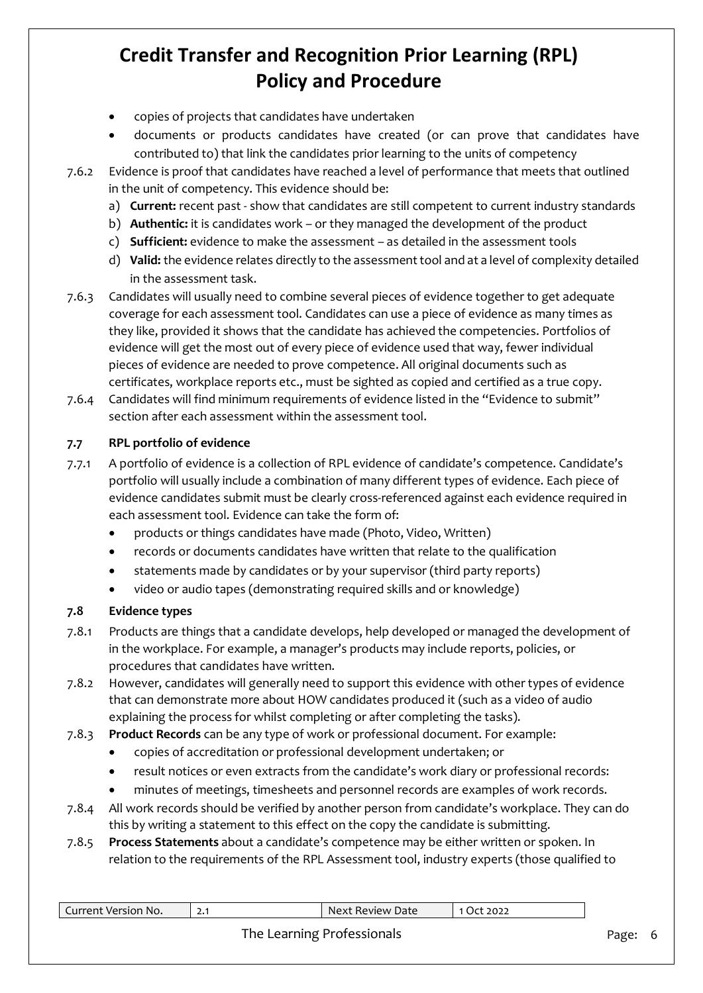- copies of projects that candidates have undertaken
- documents or products candidates have created (or can prove that candidates have contributed to) that link the candidates prior learning to the units of competency
- 7.6.2 Evidence is proof that candidates have reached a level of performance that meets that outlined in the unit of competency. This evidence should be:
	- a) **Current:** recent past show that candidates are still competent to current industry standards
	- b) **Authentic:** it is candidates work or they managed the development of the product
	- c) **Sufficient:** evidence to make the assessment as detailed in the assessment tools
	- d) **Valid:** the evidence relates directly to the assessment tool and at a level of complexity detailed in the assessment task.
- 7.6.3 Candidates will usually need to combine several pieces of evidence together to get adequate coverage for each assessment tool. Candidates can use a piece of evidence as many times as they like, provided it shows that the candidate has achieved the competencies. Portfolios of evidence will get the most out of every piece of evidence used that way, fewer individual pieces of evidence are needed to prove competence. All original documents such as certificates, workplace reports etc., must be sighted as copied and certified as a true copy.
- 7.6.4 Candidates will find minimum requirements of evidence listed in the "Evidence to submit" section after each assessment within the assessment tool.

### **7.7 RPL portfolio of evidence**

- 7.7.1 A portfolio of evidence is a collection of RPL evidence of candidate's competence. Candidate's portfolio will usually include a combination of many different types of evidence. Each piece of evidence candidates submit must be clearly cross-referenced against each evidence required in each assessment tool. Evidence can take the form of:
	- products or things candidates have made (Photo, Video, Written)
	- records or documents candidates have written that relate to the qualification
	- statements made by candidates or by your supervisor (third party reports)
	- video or audio tapes (demonstrating required skills and or knowledge)

### **7.8 Evidence types**

- 7.8.1 Products are things that a candidate develops, help developed or managed the development of in the workplace. For example, a manager's products may include reports, policies, or procedures that candidates have written.
- 7.8.2 However, candidates will generally need to support this evidence with other types of evidence that can demonstrate more about HOW candidates produced it (such as a video of audio explaining the process for whilst completing or after completing the tasks).
- 7.8.3 **Product Records** can be any type of work or professional document. For example:
	- copies of accreditation or professional development undertaken; or
	- result notices or even extracts from the candidate's work diary or professional records:
	- minutes of meetings, timesheets and personnel records are examples of work records.
- 7.8.4 All work records should be verified by another person from candidate's workplace. They can do this by writing a statement to this effect on the copy the candidate is submitting.
- 7.8.5 **Process Statements** about a candidate's competence may be either written or spoken. In relation to the requirements of the RPL Assessment tool, industry experts (those qualified to

| Current Version No. | $\blacksquare$ Next Review Date | 10ct 2022 |       |   |
|---------------------|---------------------------------|-----------|-------|---|
|                     | The Learning Professionals      |           | Page: | 6 |